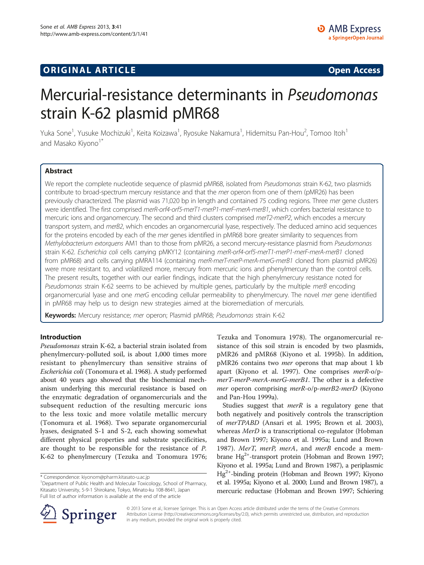# **ORIGINAL ARTICLE CONSERVANCE IN A LOCAL CONSERVANCE IN A LOCAL CONSERVANCE IN A LOCAL CONSERVANCE IN A LOCAL CONSERVANCE IN A LOCAL CONSERVANCE IN A LOCAL CONSERVANCE IN A LOCAL CONSERVANCE IN A LOCAL CONSERVANCE IN A L**

# Mercurial-resistance determinants in Pseudomonas strain K-62 plasmid pMR68

Yuka Sone<sup>1</sup>, Yusuke Mochizuki<sup>1</sup>, Keita Koizawa<sup>1</sup>, Ryosuke Nakamura<sup>1</sup>, Hidemitsu Pan-Hou<sup>2</sup>, Tomoo Itoh<sup>1</sup> and Masako Kiyono<sup>1\*</sup>

# Abstract

We report the complete nucleotide sequence of plasmid pMR68, isolated from Pseudomonas strain K-62, two plasmids contribute to broad-spectrum mercury resistance and that the mer operon from one of them (pMR26) has been previously characterized. The plasmid was 71,020 bp in length and contained 75 coding regions. Three mer gene clusters were identified. The first comprised merR-orf4-orf5-merT1-merP1-merF-merA-merB1, which confers bacterial resistance to mercuric ions and organomercury. The second and third clusters comprised merT2-merP2, which encodes a mercury transport system, and merB2, which encodes an organomercurial lyase, respectively. The deduced amino acid sequences for the proteins encoded by each of the mer genes identified in pMR68 bore greater similarity to sequences from Methylobacterium extorquens AM1 than to those from pMR26, a second mercury-resistance plasmid from Pseudomonas strain K-62. Escherichia coli cells carrying pMKY12 (containing merR-orf4-orf5-merT1-merP1-merF-merA-merB1 cloned from pMR68) and cells carrying pMRA114 (containing merR-merT-merP-merA-merG-merB1 cloned from plasmid pMR26) were more resistant to, and volatilized more, mercury from mercuric ions and phenylmercury than the control cells. The present results, together with our earlier findings, indicate that the high phenylmercury resistance noted for Pseudomonas strain K-62 seems to be achieved by multiple genes, particularly by the multiple merB encoding organomercurial lyase and one merG encoding cellular permeability to phenylmercury. The novel mer gene identified in pMR68 may help us to design new strategies aimed at the bioremediation of mercurials.

Keywords: Mercury resistance; mer operon; Plasmid pMR68; Pseudomonas strain K-62

# Introduction

Pseudomonas strain K-62, a bacterial strain isolated from phenylmercury-polluted soil, is about 1,000 times more resistant to phenylmercury than sensitive strains of Escherichia coli (Tonomura et al. [1968](#page-6-0)). A study performed about 40 years ago showed that the biochemical mechanism underlying this mercurial resistance is based on the enzymatic degradation of organomercurials and the subsequent reduction of the resulting mercuric ions to the less toxic and more volatile metallic mercury (Tonomura et al. [1968\)](#page-6-0). Two separate organomercurial lyases, designated S-1 and S-2, each showing somewhat different physical properties and substrate specificities, are thought to be responsible for the resistance of P. K-62 to phenylmercury (Tezuka and Tonomura [1976](#page-6-0);

Tezuka and Tonomura [1978](#page-6-0)). The organomercurial resistance of this soil strain is encoded by two plasmids, pMR26 and pMR68 (Kiyono et al. [1995b](#page-6-0)). In addition, pMR26 contains two mer operons that map about 1 kb apart (Kiyono et al. [1997](#page-6-0)). One comprises merR-o/pmerT-merP-merA-merG-merB1. The other is a defective mer operon comprising merR-o/p-merB2-merD (Kiyono and Pan-Hou [1999a\)](#page-6-0).

Studies suggest that *merR* is a regulatory gene that both negatively and positively controls the transcription of merTPABD (Ansari et al. [1995](#page-6-0); Brown et al. [2003](#page-6-0)), whereas MerD is a transcriptional co-regulator (Hobman and Brown [1997;](#page-6-0) Kiyono et al. [1995a](#page-6-0); Lund and Brown [1987\)](#page-6-0). MerT, merP, merA, and merB encode a membrane  $Hg^{2+}$ -transport protein (Hobman and Brown [1997](#page-6-0); Kiyono et al. [1995a;](#page-6-0) Lund and Brown [1987](#page-6-0)), a periplasmic  $Hg^{2+}$ -binding protein (Hobman and Brown [1997](#page-6-0); Kiyono et al. [1995a;](#page-6-0) Kiyono et al. [2000;](#page-6-0) Lund and Brown [1987\)](#page-6-0), a mercuric reductase (Hobman and Brown [1997;](#page-6-0) Schiering



© 2013 Sone et al.; licensee Springer. This is an Open Access article distributed under the terms of the Creative Commons Attribution License [\(http://creativecommons.org/licenses/by/2.0\)](http://creativecommons.org/licenses/by/2.0), which permits unrestricted use, distribution, and reproduction in any medium, provided the original work is properly cited.

<sup>\*</sup> Correspondence: [kiyonom@pharm.kitasato-u.ac.jp](mailto:kiyonom@pharm.kitasato-u.ac.jp) <sup>1</sup>

<sup>&</sup>lt;sup>1</sup>Department of Public Health and Molecular Toxicology, School of Pharmacy, Kitasato University, 5-9-1 Shirokane, Tokyo, Minato-ku 108-8641, Japan Full list of author information is available at the end of the article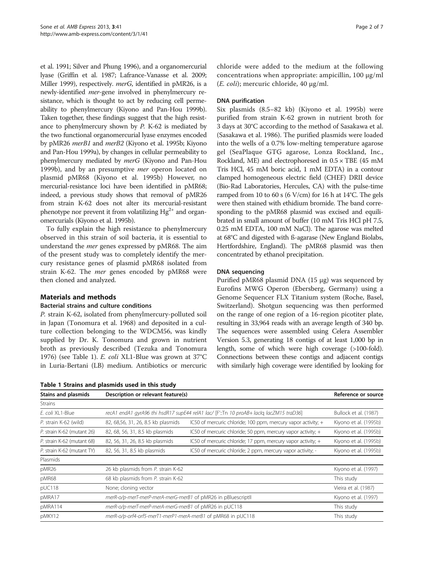<span id="page-1-0"></span>et al. [1991;](#page-6-0) Silver and Phung [1996](#page-6-0)), and a organomercurial lyase (Griffin et al. [1987](#page-6-0); Lafrance-Vanasse et al. [2009](#page-6-0); Miller [1999](#page-6-0)), respectively. merG, identified in pMR26, is a newly-identified mer-gene involved in phenylmercury resistance, which is thought to act by reducing cell permeability to phenylmercury (Kiyono and Pan-Hou [1999b](#page-6-0)). Taken together, these findings suggest that the high resistance to phenylmercury shown by  $P$ . K-62 is mediated by the two functional organomercurial lyase enzymes encoded by pMR26 merB1 and merB2 (Kiyono et al. [1995b](#page-6-0); Kiyono and Pan-Hou [1999a\)](#page-6-0), by changes in cellular permeability to phenylmercury mediated by merG (Kiyono and Pan-Hou [1999b](#page-6-0)), and by an presumptive *mer* operon located on plasmid pMR68 (Kiyono et al. [1995b\)](#page-6-0) However, no mercurial-resistance loci have been identified in pMR68; indeed, a previous study shows that removal of pMR26 from strain K-62 does not alter its mercurial-resistant phenotype nor prevent it from volatilizing  $Hg^{2+}$  and organomercurials (Kiyono et al. [1995b\)](#page-6-0).

To fully explain the high resistance to phenylmercury observed in this strain of soil bacteria, it is essential to understand the mer genes expressed by pMR68. The aim of the present study was to completely identify the mercury resistance genes of plasmid pMR68 isolated from strain K-62. The mer genes encoded by pMR68 were then cloned and analyzed.

# Materials and methods

# Bacterial strains and culture conditions

P. strain K-62, isolated from phenylmercury-polluted soil in Japan (Tonomura et al. [1968\)](#page-6-0) and deposited in a culture collection belonging to the WDCM56, was kindly supplied by Dr. K. Tonomura and grown in nutrient broth as previously described (Tezuka and Tonomura [1976](#page-6-0)) (see Table 1). E. coli XL1-Blue was grown at 37°C in Luria-Bertani (LB) medium. Antibiotics or mercuric

Table 1 Strains and plasmids used in this study

chloride were added to the medium at the following concentrations when appropriate: ampicillin, 100 μg/ml (E. coli); mercuric chloride, 40 μg/ml.

# DNA purification

Six plasmids (8.5–82 kb) (Kiyono et al. [1995b](#page-6-0)) were purified from strain K-62 grown in nutrient broth for 3 days at 30°C according to the method of Sasakawa et al. (Sasakawa et al. [1986](#page-6-0)). The purified plasmids were loaded into the wells of a 0.7% low-melting temperature agarose gel (SeaPlaque GTG agarose, Lonza Rockland, Inc., Rockland, ME) and electrophoresed in  $0.5 \times$  TBE (45 mM Tris HCl, 45 mM boric acid, 1 mM EDTA) in a contour clamped homogeneous electric field (CHEF) DRII device (Bio-Rad Laboratories, Hercules, CA) with the pulse-time ramped from 10 to 60 s (6 V/cm) for 16 h at  $14^{\circ}$ C. The gels were then stained with ethidium bromide. The band corresponding to the pMR68 plasmid was excised and equilibrated in small amount of buffer (10 mM Tris HCl pH 7.5, 0.25 mM EDTA, 100 mM NaCl). The agarose was melted at 68°C and digested with ß-agarase (New England Biolabs, Hertfordshire, England). The pMR68 plasmid was then concentrated by ethanol precipitation.

# DNA sequencing

Purified pMR68 plasmid DNA (15 μg) was sequenced by Eurofins MWG Operon (Ebersberg, Germany) using a Genome Sequencer FLX Titanium system (Roche, Basel, Switzerland). Shotgun sequencing was then performed on the range of one region of a 16-region picotiter plate, resulting in 33,964 reads with an average length of 340 bp. The sequences were assembled using Celera Assembler Version 5.3, generating 18 contigs of at least 1,000 bp in length, some of which were high coverage (>100-fold). Connections between these contigs and adjacent contigs with similarly high coverage were identified by looking for

| <b>Stains and plasmids</b> | Description or relevant feature(s)                                                      | Reference or source                                           |                       |
|----------------------------|-----------------------------------------------------------------------------------------|---------------------------------------------------------------|-----------------------|
| <b>Strains</b>             |                                                                                         |                                                               |                       |
| F. coli XI 1-Blue          | recA1 endA1 gyrA96 thi hsdR17 supE44 relA1 lac/ [F'::Tn 10 proAB+ laclq lacZM15 traD36] | Bullock et al. (1987)                                         |                       |
| P. strain K-62 (wild)      | 82, 68,56, 31, 26, 8.5 kb plasmids                                                      | IC50 of mercuric chloride; 100 ppm, mercury vapor activity; + | Kiyono et al. (1995b) |
| P. strain K-62 (mutant 26) | 82, 68, 56, 31, 8.5 kb plasmids                                                         | IC50 of mercuric chloride; 50 ppm, mercury vapor activity; +  | Kiyono et al. (1995b) |
| P. strain K-62 (mutant 68) | 82, 56, 31, 26, 8.5 kb plasmids                                                         | IC50 of mercuric chloride; 17 ppm, mercury vapor activity; +  | Kiyono et al. (1995b) |
| P. strain K-62 (mutant TY) | 82, 56, 31, 8.5 kb plasmids                                                             | IC50 of mercuric chloride; 2 ppm, mercury vapor activity; -   | Kiyono et al. (1995b) |
| Plasmids                   |                                                                                         |                                                               |                       |
| pMR26                      | 26 kb plasmids from P. strain K-62                                                      | Kiyono et al. (1997)                                          |                       |
| pMR68                      | 68 kb plasmids from P. strain K-62                                                      | This study                                                    |                       |
| pUC118                     | None; cloning vector                                                                    |                                                               | Vieira et al. (1987)  |
| pMRA17                     | merR-o/p-merT-merP-merA-merG-merB1 of pMR26 in pBluescriptII                            | Kiyono et al. (1997)                                          |                       |
| pMRA114                    | merR-o/p-merT-merP-merA-merG-merB1 of pMR26 in pUC118                                   | This study                                                    |                       |
| pMKY12                     | merR-o/p-orf4-orf5-merT1-merP1-merA-merB1 of pMR68 in pUC118                            | This study                                                    |                       |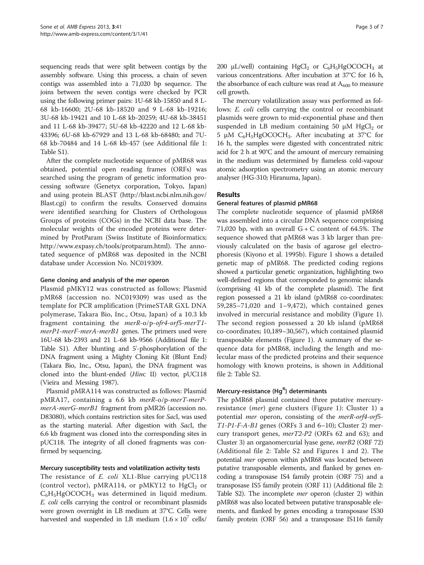sequencing reads that were split between contigs by the assembly software. Using this process, a chain of seven contigs was assembled into a 71,020 bp sequence. The joins between the seven contigs were checked by PCR using the following primer pairs: 1U-68 kb-15850 and 8 L-68 kb-16600; 2U-68 kb-18520 and 9 L-68 kb-19216; 3U-68 kb-19421 and 10 L-68 kb-20259; 4U-68 kb-38451 and 11 L-68 kb-39477; 5U-68 kb-42220 and 12 L-68 kb-43396; 6U-68 kb-67929 and 13 L-68 kb-68480; and 7U-68 kb-70484 and 14 L-68 kb-457 (see Additional file [1](#page-6-0): Table S1).

After the complete nucleotide sequence of pMR68 was obtained, potential open reading frames (ORFs) was searched using the program of genetic information processing software (Genetyx corporation, Tokyo, Japan) and using protein BLAST ([http://blast.ncbi.nlm.nih.gov/](http://blast.ncbi.nlm.nih.gov/Blast.cgi) [Blast.cgi](http://blast.ncbi.nlm.nih.gov/Blast.cgi)) to confirm the results. Conserved domains were identified searching for Clusters of Orthologous Groups of proteins (COGs) in the NCBI data base. The molecular weights of the encoded proteins were determined by ProtParam (Swiss Institute of Bioinformatics; [http://www.expasy.ch/tools/protparam.html\)](http://www.expasy.ch/tools/protparam.html). The annotated sequence of pMR68 was deposited in the NCBI database under Accession No. NC019309.

# Gene cloning and analysis of the mer operon

Plasmid pMKY12 was constructed as follows: Plasmid pMR68 (accession no. NC019309) was used as the template for PCR amplification (PrimeSTAR GXL DNA polymerase, Takara Bio, Inc., Otsu, Japan) of a 10.3 kb fragment containing the merR-o/p-ofr4-orf5-merT1 merP1-merF-merA-merB1 genes. The primers used were 16U-68 kb-2393 and 21 L-68 kb-9566 (Additional file [1](#page-6-0): Table S1). After blunting and 5'-phosphorylation of the DNA fragment using a Mighty Cloning Kit (Blunt End) (Takara Bio, Inc., Otsu, Japan), the DNA fragment was cloned into the blunt-ended (Hinc II) vector, pUC118 (Vieira and Messing [1987](#page-6-0)).

Plasmid pMRA114 was constructed as follows: Plasmid pMRA17, containing a 6.6 kb merR-o/p-merT-merPmerA-merG-merB1 fragment from pMR26 (accession no. D83080), which contains restriction sites for SacI, was used as the starting material. After digestion with SacI, the 6.6 kb fragment was cloned into the corresponding sites in pUC118. The integrity of all cloned fragments was confirmed by sequencing.

## Mercury susceptibility tests and volatilization activity tests

The resistance of E. coli XL1-Blue carrying pUC118 (control vector), pMRA114, or pMKY12 to  $HgCl<sub>2</sub>$  or  $C_6H_5HgOCOCH_3$  was determined in liquid medium. E. coli cells carrying the control or recombinant plasmids were grown overnight in LB medium at 37°C. Cells were harvested and suspended in LB medium  $(1.6 \times 10^{7} \text{ cells})$ 

200 μL/well) containing  $HgCl<sub>2</sub>$  or  $C_6H_5HgOCOCH<sub>3</sub>$  at various concentrations. After incubation at 37°C for 16 h, the absorbance of each culture was read at  $A_{600}$  to measure cell growth.

The mercury volatilization assay was performed as follows: E. coli cells carrying the control or recombinant plasmids were grown to mid-exponential phase and then suspended in LB medium containing 50  $\mu$ M HgCl<sub>2</sub> or 5 μM  $C_6H_5HgOCOCH_3$ . After incubating at 37°C for 16 h, the samples were digested with concentrated nitric acid for 2 h at 90°C and the amount of mercury remaining in the medium was determined by flameless cold-vapour atomic adsorption spectrometry using an atomic mercury analyser (HG-310; Hiranuma, Japan).

# Results

# General features of plasmid pMR68

The complete nucleotide sequence of plasmid pMR68 was assembled into a circular DNA sequence comprising 71,020 bp, with an overall  $G + C$  content of 64.5%. The sequence showed that pMR68 was 3 kb larger than previously calculated on the basis of agarose gel electrophoresis (Kiyono et al. [1995b](#page-6-0)). Figure [1](#page-3-0) shows a detailed genetic map of pMR68. The predicted coding regions showed a particular genetic organization, highlighting two well-defined regions that corresponded to genomic islands (comprising 41 kb of the complete plasmid). The first region possessed a 21 kb island (pMR68 co-coordinates: 59,285–71,020 and 1–9,472), which contained genes involved in mercurial resistance and mobility (Figure [1](#page-3-0)). The second region possessed a 20 kb island (pMR68 co-coordinates; 10,189–30,567), which contained plasmid transposable elements (Figure [1](#page-3-0)). A summary of the sequence data for pMR68, including the length and molecular mass of the predicted proteins and their sequence homology with known proteins, is shown in Additional file [2:](#page-6-0) Table S2.

# Mercury-resistance (Hg<sup>R</sup>) determinants

The pMR68 plasmid contained three putative mercuryresistance (mer) gene clusters (Figure [1\)](#page-3-0): Cluster 1) a potential *mer* operon, consisting of the *merR-orf4-orf5-*T1-P1-F-A-B1 genes (ORFs 3 and 6–10); Cluster 2) mercury transport genes, merT2-P2 (ORFs 62 and 63); and Cluster 3) an organomercurial lyase gene, merB2 (ORF 72) (Additional file [2](#page-6-0): Table S2 and Figures [1](#page-3-0) and [2\)](#page-4-0). The potential mer operon within pMR68 was located between putative transposable elements, and flanked by genes encoding a transposase IS4 family protein (ORF 75) and a transposase IS5 family protein (ORF 11) (Additional file [2](#page-6-0): Table S2). The incomplete *mer* operon (cluster 2) within pMR68 was also located between putative transposable elements, and flanked by genes encoding a transposase IS30 family protein (ORF 56) and a transposase IS116 family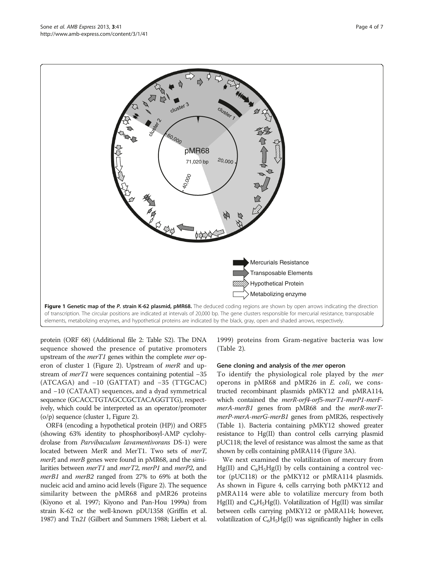protein (ORF 68) (Additional file [2:](#page-6-0) Table S2). The DNA sequence showed the presence of putative promoters upstream of the  $merT1$  genes within the complete *mer* operon of cluster 1 (Figure [2\)](#page-4-0). Upstream of merR and upstream of *merT1* were sequences containing potential −35 (ATCAGA) and −10 (GATTAT) and −35 (TTGCAC) and −10 (CATAAT) sequences, and a dyad symmetrical sequence (GCACCTGTAGCCGCTACAGGTTG), respectively, which could be interpreted as an operator/promoter (o/p) sequence (cluster 1, Figure [2\)](#page-4-0).

ORF4 (encoding a hypothetical protein (HP)) and ORF5 (showing 63% identity to phosphoribosyl-AMP cyclohydrolase from Parvibaculum lavamentivorans DS-1) were located between MerR and MerT1. Two sets of *merT*, merP, and merB genes were found in pMR68, and the similarities between *merT1* and *merT2*, *merP1* and *merP2*, and merB1 and merB2 ranged from 27% to 69% at both the nucleic acid and amino acid levels (Figure [2](#page-4-0)). The sequence similarity between the pMR68 and pMR26 proteins (Kiyono et al. [1997](#page-6-0); Kiyono and Pan-Hou [1999a](#page-6-0)) from strain K-62 or the well-known pDU1358 (Griffin et al. [1987\)](#page-6-0) and Tn21 (Gilbert and Summers [1988](#page-6-0); Liebert et al. [1999\)](#page-6-0) proteins from Gram-negative bacteria was low (Table [2\)](#page-4-0).

## Gene cloning and analysis of the mer operon

To identify the physiological role played by the mer operons in pMR68 and pMR26 in E. coli, we constructed recombinant plasmids pMKY12 and pMRA114, which contained the merR-orf4-orf5-merT1-merP1-merFmerA-merB1 genes from pMR68 and the merR-merTmerP-merA-merG-merB1 genes from pMR26, respectively (Table [1](#page-1-0)). Bacteria containing pMKY12 showed greater resistance to Hg(II) than control cells carrying plasmid pUC118; the level of resistance was almost the same as that shown by cells containing pMRA114 (Figure [3](#page-5-0)A).

We next examined the volatilization of mercury from Hg(II) and  $C_6H_5Hg(I)$  by cells containing a control vector (pUC118) or the pMKY12 or pMRA114 plasmids. As shown in Figure [4,](#page-5-0) cells carrying both pMKY12 and pMRA114 were able to volatilize mercury from both  $Hg(II)$  and  $C_6H_5Hg(I)$ . Volatilization of Hg(II) was similar between cells carrying pMKY12 or pMRA114; however, volatilization of  $C_6H_5Hg(I)$  was significantly higher in cells

<span id="page-3-0"></span>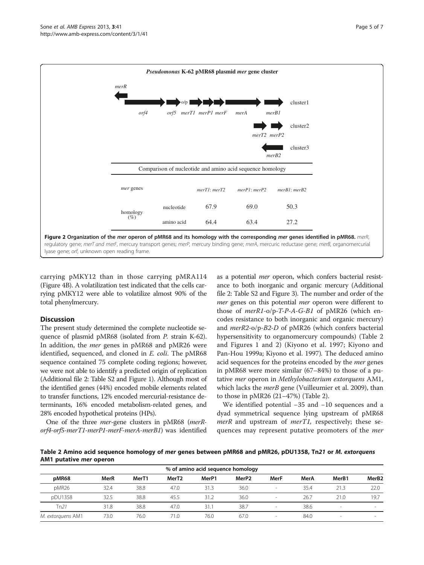<span id="page-4-0"></span>

carrying pMKY12 than in those carrying pMRA114 (Figure [4B](#page-5-0)). A volatilization test indicated that the cells carrying pMKY12 were able to volatilize almost 90% of the total phenylmercury.

# **Discussion**

The present study determined the complete nucleotide sequence of plasmid pMR68 (isolated from P. strain K-62). In addition, the *mer* genes in pMR68 and pMR26 were identified, sequenced, and cloned in E. coli. The pMR68 sequence contained 75 complete coding regions; however, we were not able to identify a predicted origin of replication (Additional file [2:](#page-6-0) Table S2 and Figure [1](#page-3-0)). Although most of the identified genes (44%) encoded mobile elements related to transfer functions, 12% encoded mercurial-resistance determinants, 16% encoded metabolism-related genes, and 28% encoded hypothetical proteins (HPs).

One of the three mer-gene clusters in pMR68 (merRorf4-orf5-merT1-merP1-merF-merA-merB1) was identified as a potential mer operon, which confers bacterial resistance to both inorganic and organic mercury (Additional file [2:](#page-6-0) Table S2 and Figure [3](#page-5-0)). The number and order of the mer genes on this potential mer operon were different to those of merR1-o/p-T-P-A-G-B1 of pMR26 (which encodes resistance to both inorganic and organic mercury) and merR2-o/p-B2-D of pMR26 (which confers bacterial hypersensitivity to organomercury compounds) (Table 2 and Figures [1](#page-3-0) and 2) (Kiyono et al. [1997;](#page-6-0) Kiyono and Pan-Hou [1999a;](#page-6-0) Kiyono et al. [1997](#page-6-0)). The deduced amino acid sequences for the proteins encoded by the *mer* genes in pMR68 were more similar (67–84%) to those of a putative mer operon in Methylobacterium extorquens AM1, which lacks the merB gene (Vuilleumier et al. [2009](#page-6-0)), than to those in pMR26 (21–47%) (Table 2).

We identified potential −35 and −10 sequences and a dyad symmetrical sequence lying upstream of pMR68 *merR* and upstream of *merT1*, respectively; these sequences may represent putative promoters of the *mer* 

Table 2 Amino acid sequence homology of mer genes between pMR68 and pMR26, pDU1358, Tn21 or M. extorquens AM1 putative mer operon

| % of amino acid sequence homology |      |       |                   |       |                   |                          |      |        |                   |  |  |
|-----------------------------------|------|-------|-------------------|-------|-------------------|--------------------------|------|--------|-------------------|--|--|
| pMR68                             | MerR | MerT1 | MerT <sub>2</sub> | MerP1 | MerP <sub>2</sub> | MerF                     | MerA | MerB1  | MerB <sub>2</sub> |  |  |
| pMR <sub>26</sub>                 | 32.4 | 38.8  | 47.0              | 31.3  | 36.0              | $\overline{\phantom{a}}$ | 35.4 | 21.3   | 22.0              |  |  |
| pDU1358                           | 32.5 | 38.8  | 45.5              | 31.2  | 36.0              | $\overline{\phantom{a}}$ | 26.7 | 21.0   | 19.7              |  |  |
| Tn21                              | 31.8 | 38.8  | 47.0              | 31.   | 38.7              | $\sim$                   | 38.6 | $\sim$ | $\sim$            |  |  |
| M. extorquens AM1                 | 73.0 | 76.0  | 71.0              | 76.0  | 67.0              | $\sim$                   | 84.0 | $\sim$ |                   |  |  |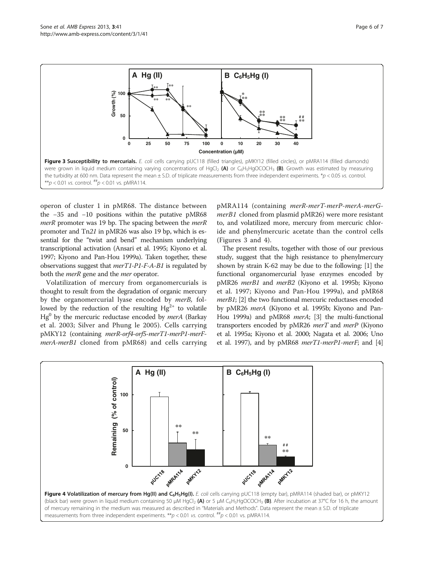

<span id="page-5-0"></span>

operon of cluster 1 in pMR68. The distance between the −35 and −10 positions within the putative pMR68 merR promoter was 19 bp. The spacing between the merR promoter and Tn21 in pMR26 was also 19 bp, which is essential for the "twist and bend" mechanism underlying transcriptional activation (Ansari et al. [1995;](#page-6-0) Kiyono et al. [1997;](#page-6-0) Kiyono and Pan-Hou [1999a](#page-6-0)). Taken together, these observations suggest that merT1-P1-F-A-B1 is regulated by both the *merR* gene and the *mer* operator.

Volatilization of mercury from organomercurials is thought to result from the degradation of organic mercury by the organomercurial lyase encoded by merB, followed by the reduction of the resulting  $Hg^{2+}$  to volatile  $Hg^0$  by the mercuric reductase encoded by *merA* (Barkay et al. [2003](#page-6-0); Silver and Phung le [2005](#page-6-0)). Cells carrying pMKY12 (containing merR-orf4-orf5-merT1-merP1-merFmerA-merB1 cloned from pMR68) and cells carrying

pMRA114 (containing merR-merT-merP-merA-merGmerB1 cloned from plasmid pMR26) were more resistant to, and volatilized more, mercury from mercuric chloride and phenylmercuric acetate than the control cells (Figures 3 and 4).

The present results, together with those of our previous study, suggest that the high resistance to phenylmercury shown by strain K-62 may be due to the following: [1] the functional organomercurial lyase enzymes encoded by pMR26 merB1 and merB2 (Kiyono et al. [1995b;](#page-6-0) Kiyono et al. [1997;](#page-6-0) Kiyono and Pan-Hou [1999a](#page-6-0)), and pMR68 merB1; [2] the two functional mercuric reductases encoded by pMR26 *merA* (Kiyono et al. [1995b](#page-6-0); Kiyono and Pan-Hou [1999a\)](#page-6-0) and pMR68 merA; [3] the multi-functional transporters encoded by pMR26 merT and merP (Kiyono et al. [1995a](#page-6-0); Kiyono et al. [2000;](#page-6-0) Nagata et al. [2006](#page-6-0); Uno et al. [1997](#page-6-0)), and by  $pMR68$  merT1-merP1-merF; and [4]